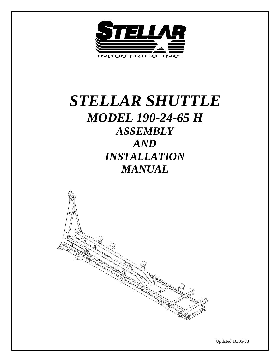

# *STELLAR SHUTTLE MODEL 190-24-65 H ASSEMBLY AND INSTALLATION MANUAL*



Updated 10/06/98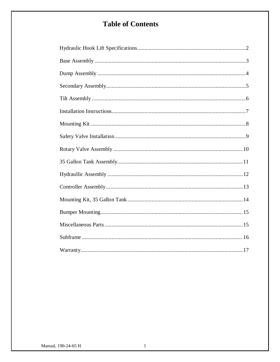# **Table of Contents**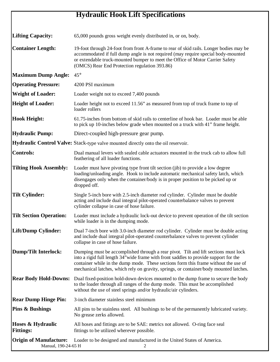# **Hydraulic Hook Lift Specifications**

| <b>Lifting Capacity:</b>                             | 65,000 pounds gross weight evenly distributed in, or on, body.                                                                                                                                                                                                                                                                                                |
|------------------------------------------------------|---------------------------------------------------------------------------------------------------------------------------------------------------------------------------------------------------------------------------------------------------------------------------------------------------------------------------------------------------------------|
| <b>Container Length:</b>                             | 19-foot through 24-foot from front A-frame to rear of skid rails. Longer bodies may be<br>accommodated if full dump angle is not required (may require special body-mounted<br>or extendable truck-mounted bumper to meet the Office of Motor Carrier Safety<br>(OMCS) Rear End Protection regulation 393.86)                                                 |
| <b>Maximum Dump Angle:</b>                           | $45^{\circ}$                                                                                                                                                                                                                                                                                                                                                  |
| <b>Operating Pressure:</b>                           | 4200 PSI maximum                                                                                                                                                                                                                                                                                                                                              |
| <b>Weight of Loader:</b>                             | Loader weight not to exceed 7,400 pounds                                                                                                                                                                                                                                                                                                                      |
| <b>Height of Loader:</b>                             | Loader height not to exceed 11.56" as measured from top of truck frame to top of<br>loader rollers                                                                                                                                                                                                                                                            |
| <b>Hook Height:</b>                                  | 61.75-inches from bottom of skid rails to centerline of hook bar. Loader must be able<br>to pick up 10-inches below grade when mounted on a truck with 41" frame height.                                                                                                                                                                                      |
| <b>Hydraulic Pump:</b>                               | Direct-coupled high-pressure gear pump.                                                                                                                                                                                                                                                                                                                       |
|                                                      | Hydraulic Control Valve: Stack-type valve mounted directly onto the oil reservoir.                                                                                                                                                                                                                                                                            |
| <b>Controls:</b>                                     | Dual manual levers with sealed cable actuators mounted in the truck cab to allow full<br>feathering of all loader functions.                                                                                                                                                                                                                                  |
| <b>Tilting Hook Assembly:</b>                        | Loader must have pivoting type front tilt section (jib) to provide a low degree<br>loading/unloading angle. Hook to include automatic mechanical safety latch, which<br>disengages only when the container/body is in proper position to be picked up or<br>dropped off.                                                                                      |
| <b>Tilt Cylinder:</b>                                | Single 5-inch bore with 2.5-inch diameter rod cylinder. Cylinder must be double<br>acting and include dual integral pilot-operated counterbalance valves to prevent<br>cylinder collapse in case of hose failure.                                                                                                                                             |
| <b>Tilt Section Operation:</b>                       | Loader must include a hydraulic lock-out device to prevent operation of the tilt section<br>while loader is in the dumping mode.                                                                                                                                                                                                                              |
| Lift/Dump Cylinder:                                  | Dual 7-inch bore with 3.0-inch diameter rod cylinder. Cylinder must be double acting<br>and include dual integral pilot-operated counterbalance valves to prevent cylinder<br>collapse in case of hose failure.                                                                                                                                               |
| <b>Dump/Tilt Interlock:</b>                          | Dumping must be accomplished through a rear pivot. Tilt and lift sections must lock<br>into a rigid full length 34" wide frame with front saddles to provide support for the<br>container while in the dump mode. These sections form this frame without the use of<br>mechanical latches, which rely on gravity, springs, or container/body mounted latches. |
| <b>Rear Body Hold-Downs:</b>                         | Dual fixed-position hold-down devices mounted to the dump frame to secure the body<br>to the loader through all ranges of the dump mode. This must be accomplished<br>without the use of steel springs and/or hydraulic/air cylinders.                                                                                                                        |
| <b>Rear Dump Hinge Pin:</b>                          | 3-inch diameter stainless steel minimum                                                                                                                                                                                                                                                                                                                       |
| <b>Pins &amp; Bushings</b>                           | All pins to be stainless steel. All bushings to be of the permanently lubricated variety.<br>No grease zerks allowed.                                                                                                                                                                                                                                         |
| Hoses & Hydraulic<br><b>Fittings:</b>                | All hoses and fittings are to be SAE: metrics not allowed. O-ring face seal<br>fittings to be utilized wherever possible.                                                                                                                                                                                                                                     |
| <b>Origin of Manufacture:</b><br>Manual, 190-24-65 H | Loader to be designed and manufactured in the United States of America.                                                                                                                                                                                                                                                                                       |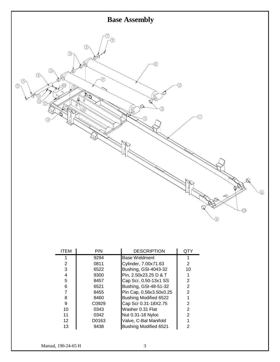

| <b>ITEM</b>     | P/N   | <b>DESCRIPTION</b>           | QTY            |
|-----------------|-------|------------------------------|----------------|
|                 | 9294  | Base Weldment                |                |
| 2               | 0811  | Cylinder, 7.00x71.63         | 2              |
| 3               | 6522  | Bushing, GSI-4043-32         | 10             |
| 4               | 9300  | Pin, 2.50x23.25 D & T        |                |
| 5               | 8457  | Cap Scr, 0.50-13x1 SS        | 2              |
| 6               | 6521  | Bushing, GSI-48-51-32        | $\overline{2}$ |
| 7               | 8455  | Pin Cap, 0.56x3.50x0.25      | $\overline{2}$ |
| 8               | 8460  | Bushing Modified 6522        |                |
| 9               | C0929 | Cap Scr 0.31-18X2.75         | 2              |
| 10              | 0343  | Washer 0.31 Flat             | $\overline{2}$ |
| 11              | 0342  | Nut 0.31-18 Nyloc            | 2              |
| 12 <sup>2</sup> | D0163 | Valve, C-Bal Manifold        |                |
| 13              | 9438  | <b>Bushing Modified 6521</b> | 2              |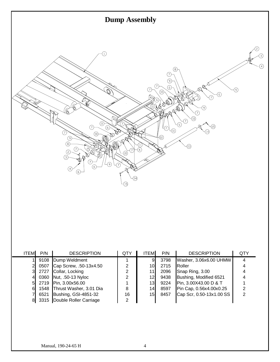

| <b>ITEM</b> | P/N  | <b>DESCRIPTION</b>           | QTY | <b>ITEM</b>     | P/N  | <b>DESCRIPTION</b>       | QTY |
|-------------|------|------------------------------|-----|-----------------|------|--------------------------|-----|
|             |      | 9108 Dump Weldment           |     | 9               | 3798 | Washer, 3.06x6.00 UHMW   |     |
|             | 0507 | Cap Screw, .50-13x4.50       | 2   | 10 <sub>l</sub> | 2715 | Roller                   |     |
|             | 2727 | Collar, Locking              | 2   | 11              | 2096 | Snap Ring, 3.00          |     |
|             |      | 0360 Nut, .50-13 Nyloc       | 2   | 12              | 9438 | Bushing, Modified 6521   |     |
|             |      | 2719 Pin, 3.00x56.00         |     | 13              | 9224 | Pin, 3.00X43.00 D & T    |     |
|             |      | 1548 Thrust Washer, 3.01 Dia | 8   | 14 <sub>1</sub> | 8597 | Pin Cap, 0.56x4.00x0.25  |     |
|             | 6521 | Bushing, GSI-4851-32         | 16  | 15 <sub>l</sub> | 8457 | Cap Scr, 0.50-13x1.00 SS |     |
|             |      | 3315 Double Roller Carriage  | 2   |                 |      |                          |     |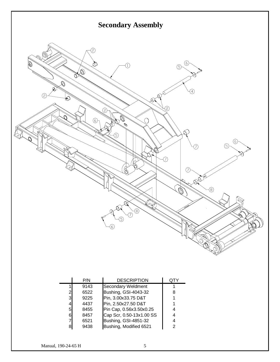

|                | P/N  | <b>DESCRIPTION</b>       |   |
|----------------|------|--------------------------|---|
|                | 9143 | Secondary Weldment       |   |
| $\overline{2}$ | 6522 | Bushing, GSI-4043-32     | 8 |
| $\overline{3}$ | 9225 | Pin, 3.00x33.75 D&T      |   |
| 4              | 4437 | Pin, 2.50x27.50 D&T      |   |
| $5 \mid$       | 8455 | Pin Cap, 0.56x3.50x0.25  |   |
| 6              | 8457 | Cap Scr, 0.50-13x1.00 SS |   |
| 7              | 6521 | Bushing, GSI-4851-32     |   |
| 8              | 9438 | Bushing, Modified 6521   | 2 |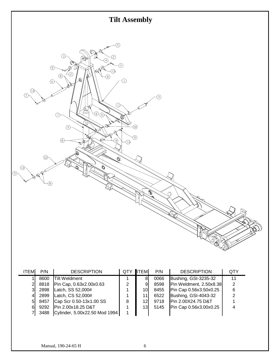

| <b>ITEM</b>    | P/N  | <b>DESCRIPTION</b>            | <b>QTY</b>     | <b>I</b> ITEM   | P/N  | <b>DESCRIPTION</b>      | QTY |
|----------------|------|-------------------------------|----------------|-----------------|------|-------------------------|-----|
|                | 8600 | <b>Tilt Weldment</b>          |                | 8               | 0066 | Bushing, GSI-3235-32    | 11  |
| $\overline{2}$ | 8818 | Pin Cap, 0.63x2.00x0.63       | $\overline{2}$ | 9               | 8598 | Pin Weldment, 2.50x8.38 | 2   |
| 31             | 2898 | Latch, SS 52,000#             |                | 10I             | 8455 | Pin Cap 0.56x3.50x0.25  | 6   |
| 41             | 2899 | Latch, CS 52,000#             |                | 11              | 6522 | Bushing, GSI-4043-32    | 2   |
| 51             | 8457 | Cap Scr 0.50-13x1.00 SS       | 8              | 12 <sup>l</sup> | 9718 | Pin 2.00X24.75 D&T      |     |
| 61             | 9292 | Pin 2.00x18.25 D&T            |                | 13 <sub>l</sub> | 5145 | Pin Cap 0.56x3.00x0.25  | 4   |
|                | 3488 | Cylinder, 5.00x22.50 Mod 1994 |                |                 |      |                         |     |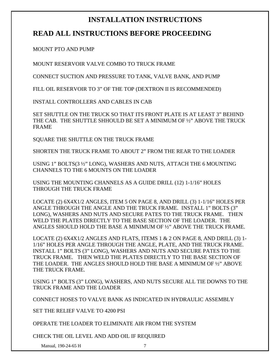# **INSTALLATION INSTRUCTIONS**

## **READ ALL INSTRUCTIONS BEFORE PROCEEDING**

MOUNT PTO AND PUMP

MOUNT RESERVOIR VALVE COMBO TO TRUCK FRAME

CONNECT SUCTION AND PRESSURE TO TANK, VALVE BANK, AND PUMP

FILL OIL RESERVOIR TO 3" OF THE TOP (DEXTRON II IS RECOMMENDED)

INSTALL CONTROLLERS AND CABLES IN CAB

SET SHUTTLE ON THE TRUCK SO THAT ITS FRONT PLATE IS AT LEAST 3" BEHIND THE CAB. THE SHUTTLE SHHOULD BE SET A MINIMUM OF ½" ABOVE THE TRUCK FRAME

SQUARE THE SHUTTLE ON THE TRUCK FRAME

SHORTEN THE TRUCK FRAME TO ABOUT 2" FROM THE REAR TO THE LOADER

USING 1" BOLTS(3 ½" LONG), WASHERS AND NUTS, ATTACH THE 6 MOUNTING CHANNELS TO THE 6 MOUNTS ON THE LOADER

USING THE MOUNTING CHANNELS AS A GUIDE DRILL (12) 1-1/16" HOLES THROUGH THE TRUCK FRAME

LOCATE (2) 6X4X1/2 ANGLES, ITEM 5 ON PAGE 8, AND DRILL (3) 1-1/16" HOLES PER ANGLE THROUGH THE ANGLE AND THE TRUCK FRAME. INSTALL 1" BOLTS (3" LONG), WASHERS AND NUTS AND SECURE PATES TO THE TRUCK FRAME. THEN WELD THE PLATES DIRECTLY TO THE BASE SECTION OF THE LOADER. THE ANGLES SHOULD HOLD THE BASE A MINIMUM OF ½" ABOVE THE TRUCK FRAME.

LOCATE (2)  $6X4X1/2$  ANGLES AND FLATS, ITEMS 1 & 2 ON PAGE 8, AND DRILL (3) 1-1/16" HOLES PER ANGLE THROUGH THE ANGLE, PLATE, AND THE TRUCK FRAME. INSTALL 1" BOLTS (3" LONG), WASHERS AND NUTS AND SECURE PATES TO THE TRUCK FRAME. THEN WELD THE PLATES DIRECTLY TO THE BASE SECTION OF THE LOADER. THE ANGLES SHOULD HOLD THE BASE A MINIMUM OF ½" ABOVE THE TRUCK FRAME.

USING 1" BOLTS (3" LONG), WASHERS, AND NUTS SECURE ALL TIE DOWNS TO THE TRUCK FRAME AND THE LOADER

CONNECT HOSES TO VALVE BANK AS INDICATED IN HYDRAULIC ASSEMBLY

SET THE RELIEF VALVE TO 4200 PSI

OPERATE THE LOADER TO ELIMINATE AIR FROM THE SYSTEM

CHECK THE OIL LEVEL AND ADD OIL IF REQUIRED

Manual, 190-24-65 H 7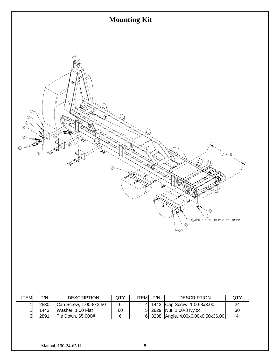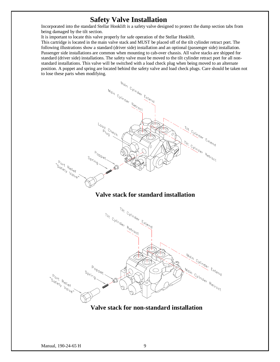### **Safety Valve Installation**

Incorporated into the standard Stellar Hooklift is a safety valve designed to protect the dump section tabs from being damaged by the tilt section.

It is important to locate this valve properly for safe operation of the Stellar Hooklift.

This cartridge is located in the main valve stack and MUST be placed off of the tilt cylinder retract port. The following illustrations show a standard (driver side) installation and an optional (passenger side) installation. Passenger side installations are common when mounting to cab-over chassis. All valve stacks are shipped for standard (driver side) installations. The safety valve must be moved to the tilt cylinder retract port for all nonstandard installations. This valve will be switched with a load check plug when being moved to an alternate position. A poppet and spring are located behind the safety valve and load check plugs. Care should be taken not to lose these parts when modifying.



#### **Valve stack for standard installation**



**Valve stack for non-standard installation**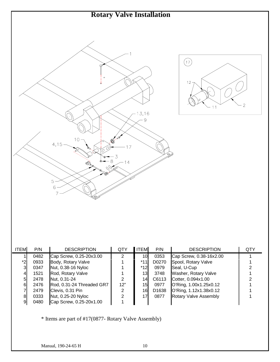

| <b>ITEM</b> | P/N  | <b>DESCRIPTION</b>        | QTY | <b>ITEM</b>     | P/N               | <b>DESCRIPTION</b>           | QTY |
|-------------|------|---------------------------|-----|-----------------|-------------------|------------------------------|-----|
|             | 0482 | Cap Screw, 0.25-20x3.00   | 2   | 10 <sub>l</sub> | 0353              | Cap Screw, 0.38-16x2.00      |     |
| *2          | 0933 | Body, Rotary Valve        |     | *11             | D0270             | Spool, Rotary Valve          |     |
| 3           | 0347 | Nut, 0.38-16 Nyloc        |     | $*12$           | 0979              | Seal, U-Cup                  |     |
| 41          | 1521 | Rod, Rotary Valve         |     | 13              | 3748              | Washer, Rotary Valve         |     |
| 51          | 2478 | Nut, 0.31-24              | 2   | 14              | C6113             | Cotter, 0.094x1.00           |     |
| 61          | 2476 | Rod, 0.31-24 Threaded GR7 | 12" | 15 <sub>l</sub> | 0977              | O'Ring, 1.00x1.25x0.12       |     |
|             | 2479 | Clevis, 0.31 Pin          | 2   | 16              | D <sub>1638</sub> | O'Ring, 1.12x1.38x0.12       |     |
| 81          | 0333 | Nut, 0.25-20 Nyloc        | 2   | 17              | 0877              | <b>Rotary Valve Assembly</b> |     |
| 91          | 0480 | Cap Screw, 0.25-20x1.00   |     |                 |                   |                              |     |

\* Items are part of #17(0877- Rotary Valve Assembly)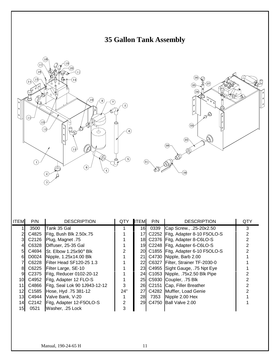





| <b>ITEM</b> | P/N   | <b>DESCRIPTION</b>                    | <b>QTY</b> | <b>ITEM</b> | P/N  | <b>DESCRIPTION</b>                  | QTY |
|-------------|-------|---------------------------------------|------------|-------------|------|-------------------------------------|-----|
|             | 3500  | Tank 35 Gal                           |            | 16          | 0339 | Cap Screw., .25-20x2.50             | 3   |
|             | C4825 | Fitg, Bush Blk 2.50x.75               |            | 17          |      | C2252 Fitg, Adapter 8-10 F5OLO-S    |     |
|             | C2126 | Plug, Magnet .75                      |            |             |      | 18 C2376 Fitg, Adapter 8-C6LO-S     |     |
|             | C6328 | Diffuser, 25-35 Gal                   |            |             |      | 19 C2248 Fitg, Adapter 6-C6LO-S     |     |
| 51          |       | C4694 St. Elbow $1.25x90^\circ$ Blk   |            |             |      | 20 C1855 Fitg, Adapter 6-10 F5OLO-S |     |
| 61          |       | D0024 Nipple, 1.25x14.00 Blk          |            |             |      | 21 C4730 Nipple, Barb 2.00          |     |
|             | C6228 | Filter Head SF120-25 1.3              |            |             |      | 22 C6327 Filter, Strainer TF-2030-0 |     |
| 81          |       | C6225 Filter Large, SE-10             |            |             |      | 23 C4955 Sight Gauge, 75 Npt Eye    |     |
| 9           |       | C2375   Fitg, Reducer 0102-20-12      |            |             |      | 24 C1053 Nipple, 75x2.50 Blk Pipe   |     |
| 10I         | C4952 | Fitg, Adapter 12 FLO-S                |            |             |      | 25 C5930 Coupler, 75 Blk            |     |
| 11I         |       | C4866   Fitg, Seal Lok 90 1J943-12-12 | 3          |             |      | 26 C2151 Cap, Filler Breather       |     |
| 12I         | C1585 | Hose, Hyd. 75 381-12                  | 24"        |             |      | 27 C4282 Muffler, Load Genie        |     |
| 13I         | C4944 | Valve Bank, V-20                      |            | 28          | 7353 | Nipple 2.00 Hex                     |     |
| 14I         |       | C2142   Fitg, Adapter 12-F5OLO-S      | 2          |             |      | 29 C4750 Ball Valve 2.00            |     |
| 15I         | 0521  | Washer, .25 Lock                      | 3          |             |      |                                     |     |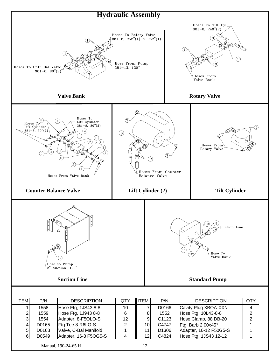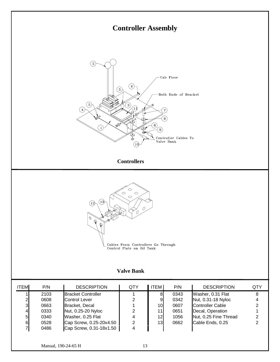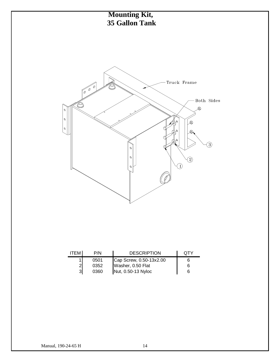

| <b>ITEM</b> | P/N  | <b>DESCRIPTION</b>                      | OTY |
|-------------|------|-----------------------------------------|-----|
|             | 0501 | Cap Screw, 0.50-13x2.00                 |     |
|             | 0352 | Washer, 0.50 Flat<br>Nut, 0.50-13 Nyloc | 6   |
| 31          | 0360 |                                         | 6   |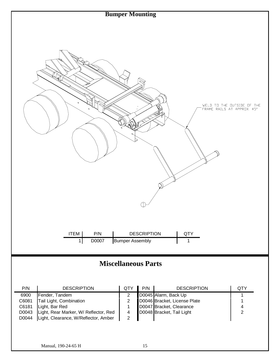

# **Miscellaneous Parts**

| P/N   | <b>DESCRIPTION</b>                    | <b>QTY</b> | P/N | <b>DESCRIPTION</b>           | QTY |
|-------|---------------------------------------|------------|-----|------------------------------|-----|
| 6900  | Fender, Tandem                        |            |     | D0045 Alarm, Back Up         |     |
| C6081 | Tail Light, Combination               |            |     | D0046 Bracket, License Plate |     |
| C6181 | Light, Bar Red                        |            |     | D0047 Bracket, Clearance     |     |
| D0043 | Light, Rear Marker, W/ Reflector, Red |            |     | D0048 Bracket, Tail Light    |     |
| D0044 | Light, Clearance, W/Reflector, Amber  |            |     |                              |     |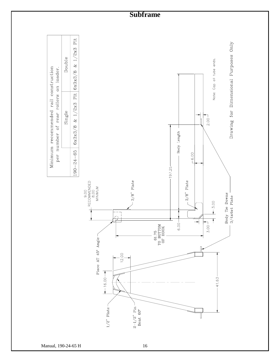